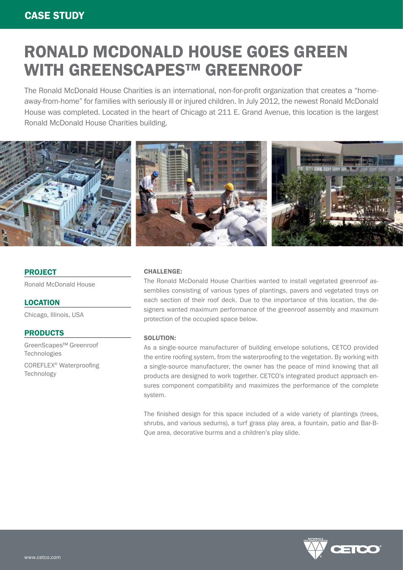# RONALD MCDONALD HOUSE GOES GREEN WITH GREENSCAPES™ GREENROOF

The Ronald McDonald House Charities is an international, non-for-profit organization that creates a "homeaway-from-home" for families with seriously ill or injured children. In July 2012, the newest Ronald McDonald House was completed. Located in the heart of Chicago at 211 E. Grand Avenue, this location is the largest Ronald McDonald House Charities building.



## **PROJECT**

Ronald McDonald House

**LOCATION** 

Chicago, Illinois, USA

### PRODUCTS

GreenScapes™ Greenroof Technologies

COREFLEX® Waterproofing **Technology** 

### CHALLENGE:

The Ronald McDonald House Charities wanted to install vegetated greenroof assemblies consisting of various types of plantings, pavers and vegetated trays on each section of their roof deck. Due to the importance of this location, the designers wanted maximum performance of the greenroof assembly and maximum protection of the occupied space below.

#### SOLUTION:

As a single-source manufacturer of building envelope solutions, CETCO provided the entire roofing system, from the waterproofing to the vegetation. By working with a single-source manufacturer, the owner has the peace of mind knowing that all products are designed to work together. CETCO's integrated product approach ensures component compatibility and maximizes the performance of the complete system.

The finished design for this space included of a wide variety of plantings (trees, shrubs, and various sedums), a turf grass play area, a fountain, patio and Bar-B-Que area, decorative burms and a children's play slide.